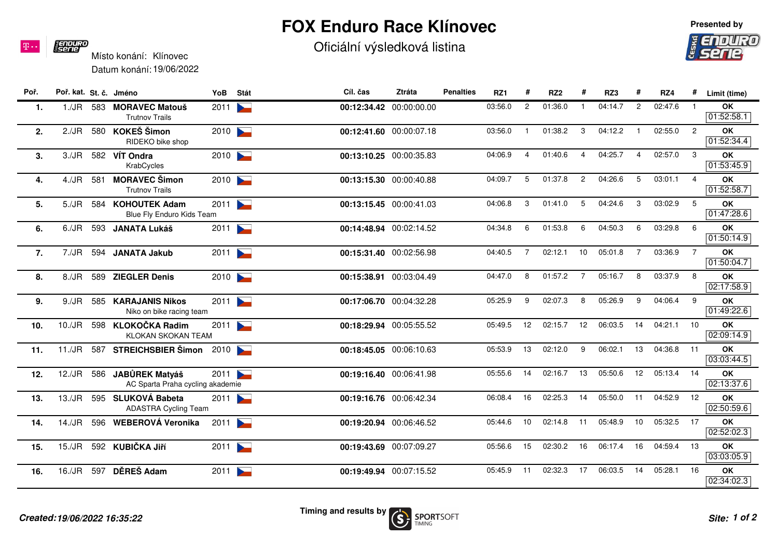## **FOX Enduro Race Klínovec**

Oficiální výsledková listina

## **19/06/2022 16:35:22**

| Místo konání: Klínovec   |  |
|--------------------------|--|
| Datum konání: 19/06/2022 |  |

| Poř. | Poř. kat. St. č. Jméno |     |                                                      | YoB  | Stát                     | Cíl. čas | Ztráta                  | <b>Penalties</b> | RZ1     | #              | RZ <sub>2</sub> |                | RZ3     | #              | RZ4     |                | Limit (time)            |
|------|------------------------|-----|------------------------------------------------------|------|--------------------------|----------|-------------------------|------------------|---------|----------------|-----------------|----------------|---------|----------------|---------|----------------|-------------------------|
| 1.   | $1./$ J $R$            |     | 583 MORAVEC Matouš<br><b>Trutnov Trails</b>          | 2011 |                          |          | 00:12:34.42 00:00:00.00 |                  | 03:56.0 | $\overline{2}$ | 01:36.0         |                | 04:14.7 | $\overline{2}$ | 02:47.6 |                | OK<br>01:52:58.1        |
| 2.   | 2./JR                  | 580 | KOKEŠ Šimon<br>RIDEKO bike shop                      | 2010 |                          |          | 00:12:41.60 00:00:07.18 |                  | 03:56.0 |                | 01:38.2         | 3              | 04:12.2 | $\mathbf{1}$   | 02:55.0 | $\overline{2}$ | OK<br>01:52:34.4        |
| 3.   | 3./JR                  |     | 582 VÍT Ondra<br>KrabCycles                          | 2010 |                          |          | 00:13:10.25 00:00:35.83 |                  | 04:06.9 | 4              | 01:40.6         | 4              | 04:25.7 | $\overline{4}$ | 02:57.0 | -3             | OK<br>01:53:45.9        |
| 4.   | 4./JR                  | 581 | <b>MORAVEC Šimon</b><br><b>Trutnov Trails</b>        | 2010 |                          |          | 00:13:15.30 00:00:40.88 |                  | 04:09.7 | 5              | 01:37.8         | $\overline{c}$ | 04:26.6 | 5              | 03:01.1 | $\overline{4}$ | OK<br>01:52:58.7        |
| 5.   | 5./JR                  | 584 | <b>KOHOUTEK Adam</b><br>Blue Fly Enduro Kids Team    | 2011 |                          |          | 00:13:15.45 00:00:41.03 |                  | 04:06.8 | 3              | 01:41.0         | 5              | 04:24.6 | 3              | 03:02.9 | 5              | OK<br>01:47:28.6        |
| 6.   | 6./JR                  | 593 | <b>JANATA Lukáš</b>                                  | 2011 |                          |          | 00:14:48.94 00:02:14.52 |                  | 04:34.8 | 6              | 01:53.8         | 6              | 04:50.3 | 6              | 03:29.8 | 6              | OK<br>01:50:14.9        |
| 7.   | 7./JR                  | 594 | <b>JANATA Jakub</b>                                  | 2011 |                          |          | 00:15:31.40 00:02:56.98 |                  | 04:40.5 | $\overline{7}$ | 02:12.1         | 10             | 05:01.8 | $\overline{7}$ | 03:36.9 | $\overline{7}$ | OK<br>01:50:04.7        |
| 8.   | 8./JR                  | 589 | <b>ZIEGLER Denis</b>                                 | 2010 |                          |          | 00:15:38.91 00:03:04.49 |                  | 04:47.0 | 8              | 01:57.2         | $\overline{7}$ | 05:16.7 | 8              | 03:37.9 | 8              | OK<br>02:17:58.9        |
| 9.   | 9./JR                  | 585 | <b>KARAJANIS Nikos</b><br>Niko on bike racing team   | 2011 |                          |          | 00:17:06.70 00:04:32.28 |                  | 05:25.9 | 9              | 02:07.3         | 8              | 05:26.9 | 9              | 04:06.4 | 9              | <b>OK</b><br>01:49:22.6 |
| 10.  | 10./JR                 | 598 | <b>KLOKOČKA Radim</b><br><b>KLOKAN SKOKAN TEAM</b>   | 2011 |                          |          | 00:18:29.94 00:05:55.52 |                  | 05:49.5 | 12             | 02:15.7         | 12             | 06:03.5 | 14             | 04:21.1 | 10             | <b>OK</b><br>02:09:14.9 |
| 11.  | 11./JR                 |     | 587 STREICHSBIER Šimon                               | 2010 |                          |          | 00:18:45.05 00:06:10.63 |                  | 05:53.9 | 13             | 02:12.0         | 9              | 06:02.1 | 13             | 04:36.8 | 11             | OK<br>03:03:44.5        |
| 12.  | 12./JR                 | 586 | JABŮREK Matváš<br>AC Sparta Praha cycling akademie   | 2011 |                          |          | 00:19:16.40 00:06:41.98 |                  | 05:55.6 | 14             | 02:16.7         | 13             | 05:50.6 | 12             | 05:13.4 | 14             | OK<br>02:13:37.6        |
| 13.  | 13./JR                 | 595 | <b>SLUKOVÁ Babeta</b><br><b>ADASTRA Cycling Team</b> | 2011 |                          |          | 00:19:16.76 00:06:42.34 |                  | 06:08.4 | 16             | 02:25.3         | 14             | 05:50.0 | 11             | 04:52.9 | 12             | OK<br>02:50:59.6        |
| 14.  | 14./JR                 | 596 | WEBEROVÁ Veronika                                    | 2011 |                          |          | 00:19:20.94 00:06:46.52 |                  | 05:44.6 | 10             | 02:14.8         | 11             | 05:48.9 | 10             | 05:32.5 | 17             | OK<br>02:52:02.3        |
| 15.  | 15./JR                 |     | 592 KUBIČKA JIří                                     | 2011 | $\blacktriangleright$    |          | 00:19:43.69 00:07:09.27 |                  | 05:56.6 | 15             | 02:30.2         | 16             | 06:17.4 | 16             | 04:59.4 | 13             | OK<br>03:03:05.9        |
| 16.  | 16./JR                 | 597 | DĚREŠ Adam                                           | 2011 | $\overline{\phantom{a}}$ |          | 00:19:49.94 00:07:15.52 |                  | 05:45.9 | 11             | 02:32.3         | 17             | 06:03.5 | 14             | 05:28.1 | 16             | <b>OK</b><br>02:34:02.3 |
|      |                        |     |                                                      |      |                          |          |                         |                  |         |                |                 |                |         |                |         |                |                         |





**E ENDURO**